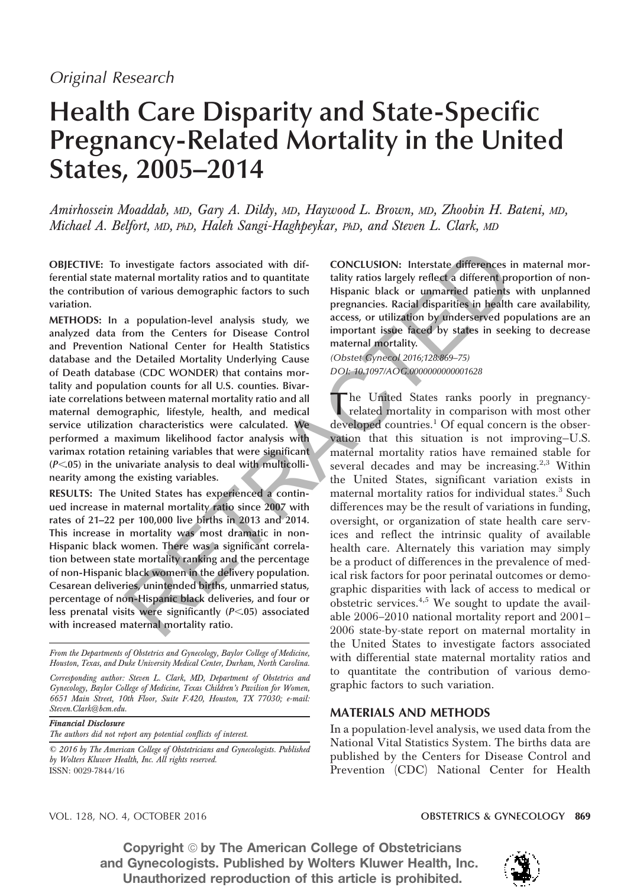# Health Care Disparity and State-Specific Pregnancy-Related Mortality in the United States, 2005–2014

Amirhossein Moaddab, MD, Gary A. Dildy, MD, Haywood L. Brown, MD, Zhoobin H. Bateni, MD, Michael A. Belfort, MD, PhD, Haleh Sangi-Haghpeykar, PhD, and Steven L. Clark, MD

OBJECTIVE: To investigate factors associated with differential state maternal mortality ratios and to quantitate the contribution of various demographic factors to such variation.

METHODS: In a population-level analysis study, we analyzed data from the Centers for Disease Control and Prevention National Center for Health Statistics database and the Detailed Mortality Underlying Cause of Death database (CDC WONDER) that contains mortality and population counts for all U.S. counties. Bivariate correlations between maternal mortality ratio and all maternal demographic, lifestyle, health, and medical service utilization characteristics were calculated. We performed a maximum likelihood factor analysis with varimax rotation retaining variables that were significant  $(P<.05)$  in the univariate analysis to deal with multicollinearity among the existing variables.

RESULTS: The United States has experienced a continued increase in maternal mortality ratio since 2007 with rates of 21–22 per 100,000 live births in 2013 and 2014. This increase in mortality was most dramatic in non-Hispanic black women. There was a significant correlation between state mortality ranking and the percentage of non-Hispanic black women in the delivery population. Cesarean deliveries, unintended births, unmarried status, percentage of non-Hispanic black deliveries, and four or less prenatal visits were significantly  $(P<.05)$  associated with increased maternal mortality ratio.

From the Departments of Obstetrics and Gynecology, Baylor College of Medicine, Houston, Texas, and Duke University Medical Center, Durham, North Carolina.

Corresponding author: Steven L. Clark, MD, Department of Obstetrics and Gynecology, Baylor College of Medicine, Texas Children's Pavilion for Women, 6651 Main Street, 10th Floor, Suite F.420, Houston, TX 77030; e-mail: Steven.Clark@bcm.edu.

Financial Disclosure

The authors did not report any potential conflicts of interest.

© 2016 by The American College of Obstetricians and Gynecologists. Published by Wolters Kluwer Health, Inc. All rights reserved. ISSN: 0029-7844/16

CONCLUSION: Interstate differences in maternal mortality ratios largely reflect a different proportion of non-Hispanic black or unmarried patients with unplanned pregnancies. Racial disparities in health care availability, access, or utilization by underserved populations are an important issue faced by states in seeking to decrease maternal mortality.

*(Obstet Gynecol 2016;128:869–75) DOI: 10.1097/AOG.0000000000001628*

 $\mathbf t$ he United States ranks poorly in pregnancyrelated mortality in comparison with most other developed countries.<sup>1</sup> Of equal concern is the observation that this situation is not improving—U.S. maternal mortality ratios have remained stable for several decades and may be increasing.<sup>2,3</sup> Within the United States, significant variation exists in maternal mortality ratios for individual states.<sup>3</sup> Such differences may be the result of variations in funding, oversight, or organization of state health care services and reflect the intrinsic quality of available health care. Alternately this variation may simply be a product of differences in the prevalence of medical risk factors for poor perinatal outcomes or demographic disparities with lack of access to medical or obstetric services. $4,5$  We sought to update the available 2006–2010 national mortality report and 2001– 2006 state-by-state report on maternal mortality in the United States to investigate factors associated with differential state maternal mortality ratios and to quantitate the contribution of various demographic factors to such variation. investigate factors associated with dif-<br>
cONCLUSION: Interstate differences in attenual mortality ratios and to quantitate<br>
intigratio is angely reflect a different profite of various demographic factors to such<br>
interap

# MATERIALS AND METHODS

In a population-level analysis, we used data from the National Vital Statistics System. The births data are published by the Centers for Disease Control and Prevention (CDC) National Center for Health

VOL. 128, NO. 4, OCTOBER 2016 OBSTETRICS & GYNECOLOGY 869

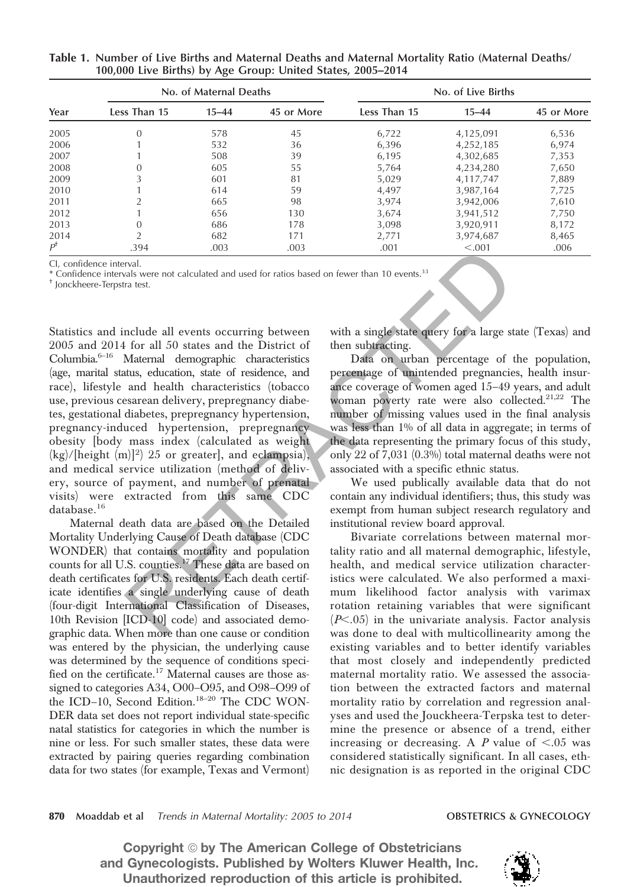| Year          | No. of Maternal Deaths |           |            | No. of Live Births |           |            |
|---------------|------------------------|-----------|------------|--------------------|-----------|------------|
|               | Less Than 15           | $15 - 44$ | 45 or More | Less Than 15       | $15 - 44$ | 45 or More |
| 2005          | $\Omega$               | 578       | 45         | 6,722              | 4,125,091 | 6,536      |
| 2006          |                        | 532       | 36         | 6,396              | 4,252,185 | 6,974      |
| 2007          |                        | 508       | 39         | 6,195              | 4,302,685 | 7,353      |
| 2008          | $\theta$               | 605       | 55         | 5.764              | 4,234,280 | 7,650      |
| 2009          | 3                      | 601       | 81         | 5,029              | 4,117,747 | 7,889      |
| 2010          |                        | 614       | 59         | 4,497              | 3,987,164 | 7,725      |
| 2011          | $\mathcal{D}$          | 665       | 98         | 3,974              | 3,942,006 | 7,610      |
| 2012          |                        | 656       | 130        | 3.674              | 3,941,512 | 7.750      |
| 2013          | $\overline{0}$         | 686       | 178        | 3,098              | 3,920,911 | 8,172      |
| 2014          | $\overline{2}$         | 682       | 171        | 2,771              | 3,974,687 | 8,465      |
| $P^{\dagger}$ | .394                   | .003      | .003       | .001               | < 0.001   | .006       |

Table 1. Number of Live Births and Maternal Deaths and Maternal Mortality Ratio (Maternal Deaths/ 100,000 Live Births) by Age Group: United States, 2005–2014

CI, confidence interval.

\* Confidence intervals were not calculated and used for ratios based on fewer than 10 events.<sup>33</sup>

† Jonckheere-Terpstra test.

Statistics and include all events occurring between 2005 and 2014 for all 50 states and the District of Columbia.<sup>6</sup>–<sup>16</sup> Maternal demographic characteristics (age, marital status, education, state of residence, and race), lifestyle and health characteristics (tobacco use, previous cesarean delivery, prepregnancy diabetes, gestational diabetes, prepregnancy hypertension, pregnancy-induced hypertension, prepregnancy obesity [body mass index (calculated as weight  $(kg)/[height (m)]<sup>2</sup>$  25 or greater], and eclampsia), and medical service utilization (method of delivery, source of payment, and number of prenatal visits) were extracted from this same CDC database.<sup>16</sup> 394<br>
and<br>
and the United and used for ratios based on fewer than 10 events.<sup>33</sup><br>
and<br>
and the District of the subtracting extremely for a large state.<br>
In for all 50 states and the District of then subtracting<br>
Maternal d

Maternal death data are based on the Detailed Mortality Underlying Cause of Death database (CDC WONDER) that contains mortality and population counts for all U.S. counties.<sup>17</sup> These data are based on death certificates for U.S. residents. Each death certificate identifies a single underlying cause of death (four-digit International Classification of Diseases, 10th Revision [ICD-10] code) and associated demographic data. When more than one cause or condition was entered by the physician, the underlying cause was determined by the sequence of conditions specified on the certificate.<sup>17</sup> Maternal causes are those assigned to categories A34, O00–O95, and O98–O99 of the ICD-10, Second Edition.<sup>18-20</sup> The CDC WON-DER data set does not report individual state-specific natal statistics for categories in which the number is nine or less. For such smaller states, these data were extracted by pairing queries regarding combination data for two states (for example, Texas and Vermont)

with a single state query for a large state (Texas) and then subtracting.

Data on urban percentage of the population, percentage of unintended pregnancies, health insurance coverage of women aged 15–49 years, and adult woman poverty rate were also collected.<sup>21,22</sup> The number of missing values used in the final analysis was less than 1% of all data in aggregate; in terms of the data representing the primary focus of this study, only 22 of 7,031 (0.3%) total maternal deaths were not associated with a specific ethnic status.

We used publically available data that do not contain any individual identifiers; thus, this study was exempt from human subject research regulatory and institutional review board approval.

Bivariate correlations between maternal mortality ratio and all maternal demographic, lifestyle, health, and medical service utilization characteristics were calculated. We also performed a maximum likelihood factor analysis with varimax rotation retaining variables that were significant  $(P<.05)$  in the univariate analysis. Factor analysis was done to deal with multicollinearity among the existing variables and to better identify variables that most closely and independently predicted maternal mortality ratio. We assessed the association between the extracted factors and maternal mortality ratio by correlation and regression analyses and used the Jouckheera-Terpska test to determine the presence or absence of a trend, either increasing or decreasing. A  $P$  value of  $< .05$  was considered statistically significant. In all cases, ethnic designation is as reported in the original CDC

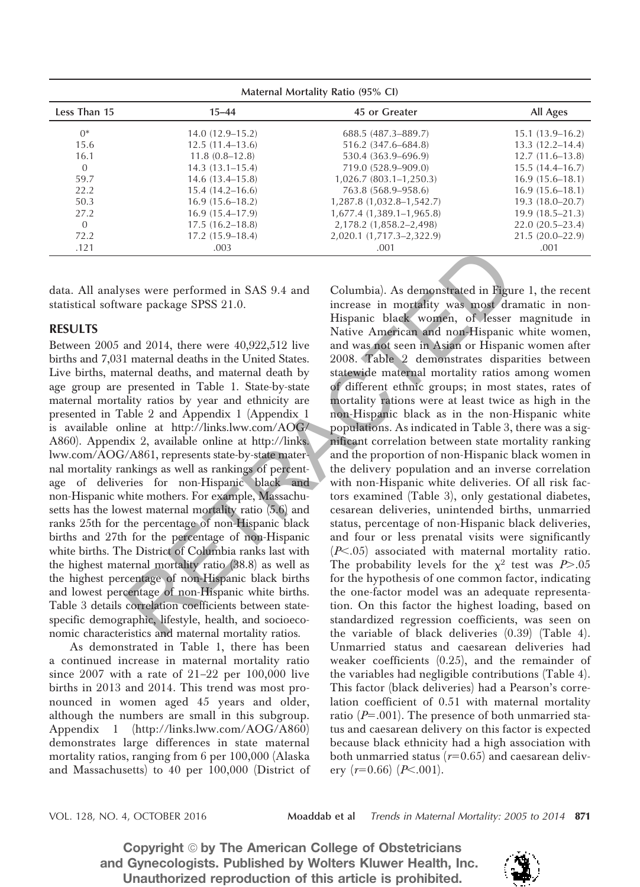| Maternal Mortality Ratio (95% CI) |                     |                            |                     |  |
|-----------------------------------|---------------------|----------------------------|---------------------|--|
| Less Than 15                      | $15 - 44$           | 45 or Greater              | All Ages            |  |
| $0^*$                             | $14.0(12.9-15.2)$   | 688.5 (487.3-889.7)        | $15.1(13.9-16.2)$   |  |
| 15.6                              | $12.5(11.4-13.6)$   | 516.2 (347.6–684.8)        | $13.3(12.2 - 14.4)$ |  |
| 16.1                              | $11.8(0.8-12.8)$    | 530.4 (363.9–696.9)        | $12.7(11.6-13.8)$   |  |
| $\Omega$                          | $14.3(13.1 - 15.4)$ | 719.0 (528.9–909.0)        | $15.5(14.4 - 16.7)$ |  |
| 59.7                              | $14.6(13.4 - 15.8)$ | $1,026.7(803.1-1,250.3)$   | $16.9(15.6 - 18.1)$ |  |
| 22.2                              | $15.4(14.2 - 16.6)$ | 763.8 (568.9–958.6)        | $16.9(15.6 - 18.1)$ |  |
| 50.3                              | $16.9(15.6 - 18.2)$ | 1,287.8 (1,032.8–1,542.7)  | $19.3(18.0 - 20.7)$ |  |
| 27.2                              | $16.9(15.4 - 17.9)$ | $1,677.4(1,389.1-1,965.8)$ | $19.9(18.5-21.3)$   |  |
| $\Omega$                          | $17.5(16.2 - 18.8)$ | 2,178.2 (1,858.2–2,498)    | $22.0(20.5-23.4)$   |  |
| 72.2                              | $17.2(15.9-18.4)$   | 2,020.1 (1,717.3–2,322.9)  | $21.5(20.0-22.9)$   |  |
| .121                              | .003                | .001                       | .001                |  |

data. All analyses were performed in SAS 9.4 and statistical software package SPSS 21.0.

# RESULTS

Between 2005 and 2014, there were 40,922,512 live births and 7,031 maternal deaths in the United States. Live births, maternal deaths, and maternal death by age group are presented in Table 1. State-by-state maternal mortality ratios by year and ethnicity are presented in Table 2 and Appendix 1 (Appendix 1 is available online at http://links.lww.com/AOG/ A860). Appendix 2, available online at http://links. lww.com/AOG/A861, represents state-by-state maternal mortality rankings as well as rankings of percentage of deliveries for non-Hispanic black and non-Hispanic white mothers. For example, Massachusetts has the lowest maternal mortality ratio (5.6) and ranks 25th for the percentage of non-Hispanic black births and 27th for the percentage of non-Hispanic white births. The District of Columbia ranks last with the highest maternal mortality ratio (38.8) as well as the highest percentage of non-Hispanic black births and lowest percentage of non-Hispanic white births. Table 3 details correlation coefficients between statespecific demographic, lifestyle, health, and socioeconomic characteristics and maternal mortality ratios.

As demonstrated in Table 1, there has been a continued increase in maternal mortality ratio since 2007 with a rate of 21–22 per 100,000 live births in 2013 and 2014. This trend was most pronounced in women aged 45 years and older, although the numbers are small in this subgroup. Appendix 1 (http://links.lww.com/AOG/A860) demonstrates large differences in state maternal mortality ratios, ranging from 6 per 100,000 (Alaska and Massachusetts) to 40 per 100,000 (District of

Columbia). As demonstrated in Figure 1, the recent increase in mortality was most dramatic in non-Hispanic black women, of lesser magnitude in Native American and non-Hispanic white women, and was not seen in Asian or Hispanic women after 2008. Table 2 demonstrates disparities between statewide maternal mortality ratios among women of different ethnic groups; in most states, rates of mortality rations were at least twice as high in the non-Hispanic black as in the non-Hispanic white populations. As indicated in Table 3, there was a significant correlation between state mortality ranking and the proportion of non-Hispanic black women in the delivery population and an inverse correlation with non-Hispanic white deliveries. Of all risk factors examined (Table 3), only gestational diabetes, cesarean deliveries, unintended births, unmarried status, percentage of non-Hispanic black deliveries, and four or less prenatal visits were significantly  $(P<.05)$  associated with maternal mortality ratio. The probability levels for the  $\chi^2$  test was  $P > .05$ for the hypothesis of one common factor, indicating the one-factor model was an adequate representation. On this factor the highest loading, based on standardized regression coefficients, was seen on the variable of black deliveries (0.39) (Table 4). Unmarried status and caesarean deliveries had weaker coefficients (0.25), and the remainder of the variables had negligible contributions (Table 4). This factor (black deliveries) had a Pearson's correlation coefficient of 0.51 with maternal mortality ratio ( $P=.001$ ). The presence of both unmarried status and caesarean delivery on this factor is expected because black ethnicity had a high association with both unmarried status  $(r=0.65)$  and caesarean delivery  $(r=0.66)$   $(P<.001)$ . .003<br>
ses were performed in SAS 9.4 and<br>
Columbia). As demonstrated in Figure<br>
are package SPSS 21.0.<br>
increase in mortality was most dir-<br>
Hispanic black women, of Jesser<br>
and 2014, there were 40,922,512 live and was not

VOL. 128, NO. 4, OCTOBER 2016 Moaddab et al *Trends in Maternal Mortality: 2005 to 2014* 871

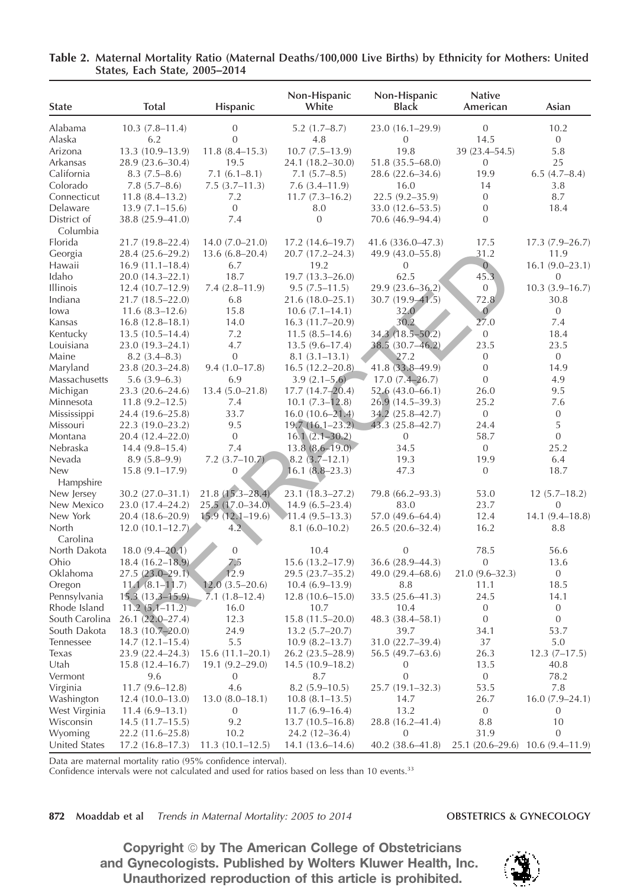| Non-Hispanic<br>Non-Hispanic<br>White<br><b>Total</b><br>Hispanic<br><b>Black</b><br><b>State</b>   | <b>Native</b><br>American | Asian                            |
|-----------------------------------------------------------------------------------------------------|---------------------------|----------------------------------|
| Alabama<br>$\mathbf{0}$<br>$10.3(7.8-11.4)$<br>$5.2(1.7 - 8.7)$<br>23.0 (16.1-29.9)                 | $\mathbf{0}$              | 10.2                             |
| Alaska<br>6.2<br>$\mathbf{0}$<br>4.8<br>$\mathbf{0}$                                                | 14.5                      | $\boldsymbol{0}$                 |
| $11.8(8.4 - 15.3)$<br>19.8<br>Arizona<br>13.3 (10.9-13.9)<br>$10.7(7.5-13.9)$                       | 39 (23.4-54.5)            | 5.8                              |
| Arkansas<br>28.9 (23.6-30.4)<br>19.5<br>24.1 (18.2-30.0)<br>$51.8(35.5 - 68.0)$                     | $\mathbf{0}$              | 25                               |
| California<br>$7.1(6.1 - 8.1)$<br>$7.1(5.7-8.5)$<br>28.6 (22.6-34.6)<br>$8.3(7.5-8.6)$              | 19.9                      | 6.5(4.7–8.4)                     |
| Colorado<br>$7.8(5.7 - 8.6)$<br>$7.5(3.7-11.3)$<br>$7.6(3.4 - 11.9)$<br>16.0                        | 14                        | 3.8                              |
| Connecticut<br>$11.8(8.4-13.2)$<br>7.2<br>$11.7(7.3 - 16.2)$<br>$22.5(9.2 - 35.9)$                  | $\mathbf{0}$              | 8.7                              |
| Delaware<br>$\mathbf{0}$<br>$13.9(7.1 - 15.6)$<br>8.0<br>33.0 (12.6–53.5)                           | $\mathbf{0}$              | 18.4                             |
| 7.4<br>$\mathbf{0}$<br>District of<br>38.8 (25.9-41.0)<br>70.6 (46.9–94.4)<br>Columbia              | $\mathbf{0}$              |                                  |
| Florida<br>21.7 (19.8-22.4)<br>$14.0(7.0-21.0)$<br>$17.2(14.6 - 19.7)$<br>41.6 (336.0-47.3)         | 17.5                      | $17.3(7.9-26.7)$                 |
| Georgia<br>28.4 (25.6–29.2)<br>$13.6(6.8-20.4)$<br>$20.7(17.2 - 24.3)$<br>49.9 (43.0–55.8)          | 31.2                      | 11.9                             |
| Hawaii<br>6.7<br>19.2<br>$\overline{0}$<br>$16.9(11.1-18.4)$                                        | $\overline{0}$            | $16.1 (9.0 - 23.1)$              |
| Idaho<br>18.7<br>62.5<br>$19.7(13.3 - 26.0)$<br>20.0 (14.3–22.1)                                    | 45.3                      | $\boldsymbol{0}$                 |
| <b>Illinois</b><br>$7.4(2.8 - 11.9)$<br>$29.9(23.6 - 36.2)$<br>$12.4(10.7-12.9)$<br>$9.5(7.5-11.5)$ | $\mathbf{0}$              | $10.3(3.9 - 16.7)$               |
| Indiana<br>6.8<br>$21.7(18.5 - 22.0)$<br>$30.7(19.9 - 41.5)$<br>$21.6(18.0-25.1)$                   | 72.8                      | 30.8                             |
| 15.8<br>32.0<br>lowa<br>$11.6(8.3-12.6)$<br>$10.6(7.1 - 14.1)$                                      | $\overline{0}$            | 0                                |
| 30.2<br>Kansas<br>14.0<br>$16.8(12.8 - 18.1)$<br>$16.3(11.7-20.9)$                                  | 27.0                      | 7.4                              |
| 34.3 (18.5-50.2)<br>Kentucky<br>7.2<br>$11.5(8.5 - 14.6)$<br>$13.5(10.5-14.4)$                      | 0                         | 18.4                             |
| 4.7<br>38.5 (30.7-46.2)<br>Louisiana<br>23.0 (19.3-24.1)<br>$13.5(9.6 - 17.4)$                      | 23.5                      | 23.5                             |
| Maine<br>$\boldsymbol{0}$<br>27.2<br>8.2(3.4–8.3)<br>$8.1(3.1-13.1)$                                | $\mathbf{0}$              | $\mathbf{0}$                     |
| 41.8 (33.8-49.9)<br>Maryland<br>$9.4(1.0 - 17.8)$<br>$16.5(12.2 - 20.8)$<br>$23.8(20.3 - 24.8)$     | $\mathbf{0}$              | 14.9                             |
| Massachusetts<br>$5.6(3.9-6.3)$<br>6.9<br>$3.9(2.1 - 5.6)$<br>$17.0(7.4 - 26.7)$                    | $\mathbf{0}$              | 4.9                              |
| Michigan<br>$13.4(5.0-21.8)$<br>$17.7(14.7 - 20.4)$<br>23.3 (20.6-24.6)<br>$52.6(43.0 - 66.1)$      | 26.0                      | 9.5                              |
| Minnesota<br>$11.8(9.2 - 12.5)$<br>7.4<br>$10.1 (7.3 - 12.8)$<br>$26.9(14.5-39.3)$                  | 25.2                      | 7.6                              |
| 33.7<br>Mississippi<br>$16.0(10.6 - \overline{21.4})$<br>34.2 (25.8-42.7)<br>24.4 (19.6–25.8)       | $\boldsymbol{0}$          | $\boldsymbol{0}$                 |
| 43.3 (25.8-42.7)<br>Missouri<br>9.5<br>$19.7(16.1-23.2)$<br>$22.3(19.0-23.2)$                       | 24.4                      | 5                                |
| $\mathbf{0}$<br>Montana<br>20.4 (12.4-22.0)<br>$16.1(2.1 - 30.2)$<br>$\mathbf{0}$                   | 58.7                      | $\boldsymbol{0}$                 |
| 7.4<br>Nebraska<br>$13.8(8.6 - 19.0)$<br>34.5<br>$14.4(9.8-15.4)$                                   | 0                         | 25.2                             |
| Nevada<br>$7.2$ $(3.7-10.7)$<br>19.3<br>$8.9(5.8-9.9)$<br>$8.2(3.7-12.1)$                           | 19.9                      | 6.4                              |
| <b>New</b><br>$\overline{0}$<br>47.3<br>$15.8(9.1 - 17.9)$<br>$16.1 (8.8 - 23.3)$                   | $\mathbf{0}$              | 18.7                             |
| Hampshire                                                                                           |                           |                                  |
| $21.8(15.3 - 28.4)$<br>New Jersey<br>30.2 (27.0-31.1)<br>$23.1(18.3-27.2)$<br>79.8 (66.2-93.3)      | 53.0                      | $12(5.7-18.2)$                   |
| $25.5(17.0-34.0)$<br>New Mexico<br>23.0 (17.4-24.2)<br>$14.9(6.5-23.4)$<br>83.0                     | 23.7                      | $\overline{0}$                   |
| $15.9(12.1 - 19.6)$<br>New York<br>57.0 (49.6-64.4)<br>20.4 (18.6–20.9)<br>$11.4(9.5-13.3)$         | 12.4                      | $14.1(9.4 - 18.8)$               |
| North<br>4.2<br>$12.0(10.1-12.7)$<br>$8.1(6.0-10.2)$<br>$26.5(20.6-32.4)$                           | 16.2                      | 8.8                              |
| Carolina                                                                                            |                           |                                  |
| $\mathbf{0}$<br>North Dakota<br>$18.0(9.4 - 20.1)$<br>$\mathbf{0}$<br>10.4                          | 78.5                      | 56.6                             |
| Ohio<br>$18.4(16.2 - 18.9)$<br>36.6 (28.9-44.3)<br>7.5<br>$15.6(13.2 - 17.9)$                       | 0                         | 13.6                             |
| 12.9<br>Oklahoma<br>$27.5(23.0-29.1)$<br>49.0 (29.4-68.6)<br>29.5 (23.7–35.2)                       | $21.0(9.6 - 32.3)$        | $\mathbf{0}$                     |
| $11.1(8.1 - 11.7)$<br>$12.0(3.5 - 20.6)$<br>Oregon<br>8.8<br>$10.4(6.9-13.9)$                       | 11.1                      | 18.5                             |
| $15.3(13.3 - 15.9)$<br>33.5 (25.6-41.3)<br>$7.1(1.8-12.4)$<br>Pennsylvania<br>12.8 (10.6-15.0)      | 24.5                      | 14.1                             |
| Rhode Island<br>$11.2(5.1 - 11.2)$<br>16.0<br>10.7<br>10.4                                          | $\mathbf{0}$              | $\mathbf{0}$                     |
| South Carolina<br>26.1 (22.0-27.4)<br>12.3<br>48.3 (38.4-58.1)<br>$15.8(11.5-20.0)$                 | $\theta$                  | $\boldsymbol{0}$                 |
| 18.3 (10.7-20.0)<br>South Dakota<br>24.9<br>39.7<br>$13.2 (5.7 - 20.7)$                             | 34.1                      | 53.7                             |
| 5.5<br>31.0 (22.7-39.4)<br>Tennessee<br>$14.7(12.1 - 15.4)$<br>$10.9(8.2 - 13.7)$                   | 37                        | 5.0                              |
| Texas<br>23.9 (22.4–24.3)<br>$15.6(11.1-20.1)$<br>56.5 (49.7–63.6)<br>26.2 (23.5–28.9)              | 26.3                      | $12.3(7-17.5)$                   |
| Utah<br>$15.8(12.4 - 16.7)$<br>$19.1(9.2 - 29.0)$<br>$14.5(10.9-18.2)$<br>0                         | 13.5                      | 40.8                             |
| $\mathbf{0}$<br>9.6<br>8.7<br>Vermont<br>0                                                          | 0                         | 78.2                             |
| $11.7(9.6-12.8)$<br>4.6<br>$8.2(5.9-10.5)$<br>Virginia<br>$25.7(19.1 - 32.3)$                       | 53.5                      | 7.8                              |
| Washington<br>$13.0(8.0-18.1)$<br>14.7<br>$12.4(10.0-13.0)$<br>$10.8(8.1-13.5)$                     | 26.7                      | $16.0(7.9 - 24.1)$               |
| 13.2<br>West Virginia<br>$11.4(6.9-13.1)$<br>0<br>$11.7(6.9-16.4)$                                  | 0                         | 0                                |
| Wisconsin<br>9.2<br>28.8 (16.2-41.4)<br>$14.5(11.7-15.5)$<br>$13.7(10.5-16.8)$                      | 8.8                       | 10                               |
| Wyoming<br>10.2<br>$24.2(12-36.4)$<br>$\mathbf{0}$<br>22.2 (11.6–25.8)                              | 31.9                      | 0                                |
| United States<br>40.2 (38.6-41.8)<br>$17.2(16.8-17.3)$<br>$11.3(10.1-12.5)$<br>$14.1(13.6 - 14.6)$  |                           | 25.1 (20.6–29.6) 10.6 (9.4–11.9) |

# Table 2. Maternal Mortality Ratio (Maternal Deaths/100,000 Live Births) by Ethnicity for Mothers: United States, Each State, 2005–2014

Data are maternal mortality ratio (95% confidence interval).

Confidence intervals were not calculated and used for ratios based on less than 10 events.<sup>33</sup>

872 Moaddab et al *Trends in Maternal Mortality: 2005 to 2014* **OBSTETRICS & GYNECOLOGY** 

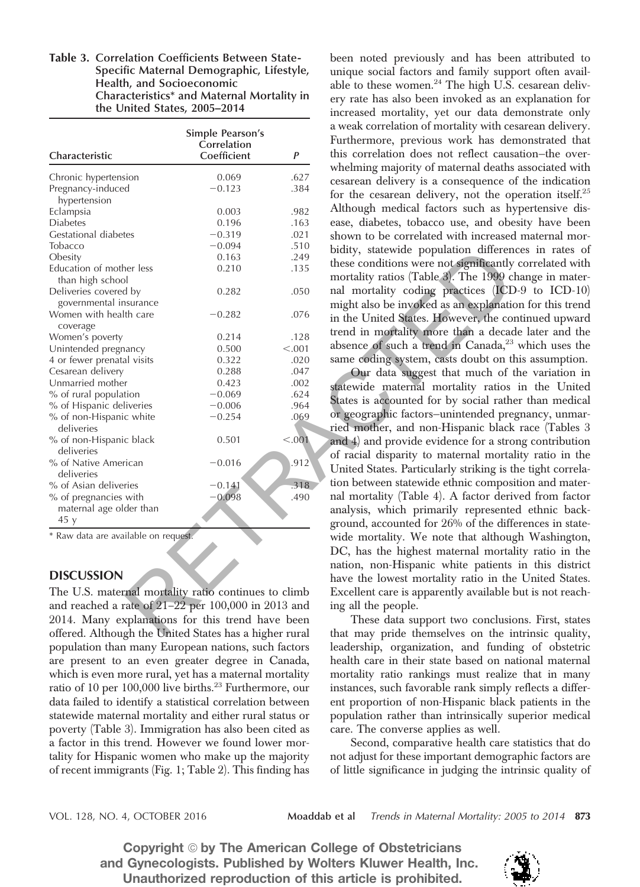Table 3. Correlation Coefficients Between State-Specific Maternal Demographic, Lifestyle, Health, and Socioeconomic Characteristics\* and Maternal Mortality in the United States, 2005–2014

| Characteristic                                         | Simple Pearson's<br>Correlation<br>Coefficient | P                                      | a weak correlation of mortality with ce<br>Furthermore, previous work has der<br>this correlation does not reflect caus |
|--------------------------------------------------------|------------------------------------------------|----------------------------------------|-------------------------------------------------------------------------------------------------------------------------|
| Chronic hypertension                                   | 0.069                                          | .627                                   | whelming majority of maternal deaths<br>cesarean delivery is a consequence o                                            |
| Pregnancy-induced<br>hypertension                      | $-0.123$                                       | .384                                   | for the cesarean delivery, not the op                                                                                   |
| Eclampsia                                              | 0.003                                          | .982                                   | Although medical factors such as hy                                                                                     |
| <b>Diabetes</b>                                        | 0.196                                          | .163                                   | ease, diabetes, tobacco use, and obe                                                                                    |
| Gestational diabetes                                   | $-0.319$                                       | .021                                   | shown to be correlated with increased                                                                                   |
| Tobacco                                                | $-0.094$                                       | .510                                   | bidity, statewide population differen                                                                                   |
| Obesity                                                | 0.163                                          | .249                                   |                                                                                                                         |
| Education of mother less                               | 0.210                                          | .135                                   | these conditions were not significantly                                                                                 |
| than high school                                       |                                                |                                        | mortality ratios (Table 3). The 1999 c                                                                                  |
| Deliveries covered by                                  | 0.282                                          | .050                                   | nal mortality coding practices (ICD                                                                                     |
| governmental insurance                                 |                                                |                                        | might also be invoked as an explanation                                                                                 |
| Women with health care                                 | $-0.282$                                       | .076                                   | in the United States. However, the co                                                                                   |
| coverage<br>Women's poverty                            | 0.214                                          | .128                                   | trend in mortality more than a decad                                                                                    |
| Unintended pregnancy                                   | 0.500                                          | < 0.001                                | absence of such a trend in Canada, <sup>23</sup>                                                                        |
| 4 or fewer prenatal visits                             | 0.322                                          | .020                                   | same coding system, casts doubt on tl                                                                                   |
| Cesarean delivery                                      | 0.288                                          | .047                                   | Our data suggest that much of t                                                                                         |
| Unmarried mother                                       | 0.423                                          | .002                                   | statewide maternal mortality ratios                                                                                     |
| % of rural population                                  | $-0.069$                                       | .624                                   |                                                                                                                         |
| % of Hispanic deliveries                               | $-0.006$                                       | .964                                   | States is accounted for by social rathe                                                                                 |
| % of non-Hispanic white<br>deliveries                  | $-0.254$                                       | .069                                   | or geographic factors-unintended pre<br>ried mother, and non-Hispanic black                                             |
| % of non-Hispanic black                                | 0.501                                          | < 0.001                                |                                                                                                                         |
| deliveries                                             |                                                |                                        | and 4) and provide evidence for a stro                                                                                  |
| % of Native American                                   | $-0.016$                                       | $.912$ <sup>'</sup>                    | of racial disparity to maternal mortal                                                                                  |
| deliveries                                             |                                                |                                        | United States. Particularly striking is th                                                                              |
| % of Asian deliveries                                  | $-0.141$                                       | .318                                   | tion between statewide ethnic composi                                                                                   |
| % of pregnancies with                                  | $-0.098$                                       | .490                                   | nal mortality (Table 4). A factor deri-                                                                                 |
| maternal age older than                                |                                                |                                        | analysis, which primarily represente                                                                                    |
| 45y                                                    |                                                |                                        | ground, accounted for 26% of the different                                                                              |
| * Raw data are available on request.                   |                                                |                                        | wide mortality. We note that although                                                                                   |
|                                                        |                                                |                                        | DC, has the highest maternal mortal                                                                                     |
|                                                        |                                                |                                        | nation, non-Hispanic white patients                                                                                     |
| <b>DISCUSSION</b>                                      |                                                | have the lowest mortality ratio in the |                                                                                                                         |
| The U.S. maternal mortality ratio continues to climb   |                                                |                                        | Excellent care is apparently available l                                                                                |
| and reached a rate of $21-22$ per 100,000 in 2013 and  |                                                |                                        | ing all the people.                                                                                                     |
| 2014. Many explanations for this trend have been       |                                                |                                        | These data support two conclusion                                                                                       |
| offered. Although the United States has a higher rural |                                                |                                        | that may pride themselves on the in                                                                                     |

### **DISCUSSION**

The U.S. maternal mortality ratio continues to climb and reached a rate of 21–22 per 100,000 in 2013 and 2014. Many explanations for this trend have been offered. Although the United States has a higher rural population than many European nations, such factors are present to an even greater degree in Canada, which is even more rural, yet has a maternal mortality ratio of 10 per 100,000 live births.<sup>23</sup> Furthermore, our data failed to identify a statistical correlation between statewide maternal mortality and either rural status or poverty (Table 3). Immigration has also been cited as a factor in this trend. However we found lower mortality for Hispanic women who make up the majority of recent immigrants (Fig. 1; Table 2). This finding has

been noted previously and has been attributed to unique social factors and family support often available to these women. $^{24}$  The high U.S. cesarean delivery rate has also been invoked as an explanation for increased mortality, yet our data demonstrate only a weak correlation of mortality with cesarean delivery. Furthermore, previous work has demonstrated that this correlation does not reflect causation—the overwhelming majority of maternal deaths associated with cesarean delivery is a consequence of the indication for the cesarean delivery, not the operation itself.<sup>25</sup> Although medical factors such as hypertensive disease, diabetes, tobacco use, and obesity have been shown to be correlated with increased maternal morbidity, statewide population differences in rates of these conditions were not significantly correlated with mortality ratios (Table 3). The 1999 change in maternal mortality coding practices (ICD-9 to ICD-10) might also be invoked as an explanation for this trend in the United States. However, the continued upward trend in mortality more than a decade later and the absence of such a trend in Canada,<sup>23</sup> which uses the same coding system, casts doubt on this assumption.

Our data suggest that much of the variation in statewide maternal mortality ratios in the United States is accounted for by social rather than medical or geographic factors—unintended pregnancy, unmarried mother, and non-Hispanic black race (Tables 3 and 4) and provide evidence for a strong contribution of racial disparity to maternal mortality ratio in the United States. Particularly striking is the tight correlation between statewide ethnic composition and maternal mortality (Table 4). A factor derived from factor analysis, which primarily represented ethnic background, accounted for 26% of the differences in statewide mortality. We note that although Washington, DC, has the highest maternal mortality ratio in the nation, non-Hispanic white patients in this district have the lowest mortality ratio in the United States. Excellent care is apparently available but is not reaching all the people.

These data support two conclusions. First, states that may pride themselves on the intrinsic quality, leadership, organization, and funding of obstetric health care in their state based on national maternal mortality ratio rankings must realize that in many instances, such favorable rank simply reflects a different proportion of non-Hispanic black patients in the population rather than intrinsically superior medical care. The converse applies as well.

Second, comparative health care statistics that do not adjust for these important demographic factors are of little significance in judging the intrinsic quality of

VOL. 128, NO. 4, OCTOBER 2016 Moaddab et al *Trends in Maternal Mortality: 2005 to 2014* 873

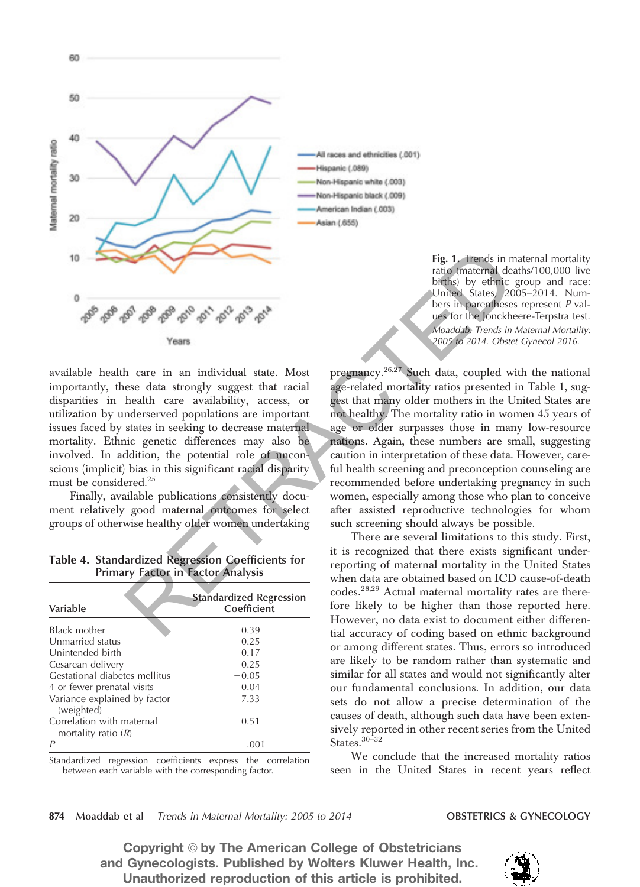

60

available health care in an individual state. Most importantly, these data strongly suggest that racial disparities in health care availability, access, or utilization by underserved populations are important issues faced by states in seeking to decrease maternal mortality. Ethnic genetic differences may also be involved. In addition, the potential role of unconscious (implicit) bias in this significant racial disparity must be considered.<sup>25</sup>

Finally, available publications consistently document relatively good maternal outcomes for select groups of otherwise healthy older women undertaking

Table 4. Standardized Regression Coefficients for Primary Factor in Factor Analysis

| Variable                                           | <b>Standardized Regression</b><br>Coefficient |
|----------------------------------------------------|-----------------------------------------------|
| Black mother                                       | 0.39                                          |
| Unmarried status                                   | 0.25                                          |
| Unintended birth                                   | 0.17                                          |
| Cesarean delivery                                  | 0.25                                          |
| Gestational diabetes mellitus                      | $-0.05$                                       |
| 4 or fewer prenatal visits                         | 0.04                                          |
| Variance explained by factor<br>(weighted)         | 7.33                                          |
| Correlation with maternal<br>mortality ratio $(R)$ | 0.51                                          |
| P                                                  | .001                                          |

Standardized regression coefficients express the correlation between each variable with the corresponding factor.

All races and ethnicities (.001) Hispanic (.089) Non-Hispanic white (.003) Non-Hispanic black (.009) American Indian (.003) Asian (.655)

> Fig. 1. Trends in maternal mortality ratio (maternal deaths/100,000 live births) by ethnic group and race: United States, 2005–2014. Numbers in parentheses represent *P* values for the Jonckheere-Terpstra test. *Moaddab. Trends in Maternal Mortality: 2005 to 2014. Obstet Gynecol 2016.*

pregnancy.26,27 Such data, coupled with the national age-related mortality ratios presented in Table 1, suggest that many older mothers in the United States are not healthy. The mortality ratio in women 45 years of age or older surpasses those in many low-resource nations. Again, these numbers are small, suggesting caution in interpretation of these data. However, careful health screening and preconception counseling are recommended before undertaking pregnancy in such women, especially among those who plan to conceive after assisted reproductive technologies for whom such screening should always be possible. Fig. 1. Trends in minion (minded States) 2015<br>
And the State of the United State and the United State and the United State and the<br>
Version parameteries in parameters and the United State in the United State in the United

There are several limitations to this study. First, it is recognized that there exists significant underreporting of maternal mortality in the United States when data are obtained based on ICD cause-of-death codes.28,29 Actual maternal mortality rates are therefore likely to be higher than those reported here. However, no data exist to document either differential accuracy of coding based on ethnic background or among different states. Thus, errors so introduced are likely to be random rather than systematic and similar for all states and would not significantly alter our fundamental conclusions. In addition, our data sets do not allow a precise determination of the causes of death, although such data have been extensively reported in other recent series from the United States.<sup>30-32</sup>

We conclude that the increased mortality ratios seen in the United States in recent years reflect

### 874 Moaddab et al *Trends in Maternal Mortality: 2005 to 2014* **OBSTETRICS & GYNECOLOGY**